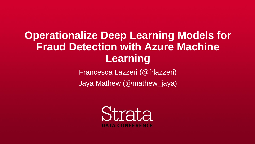**Operationalize Deep Learning Models for Fraud Detection with Azure Machine Learning** Francesca Lazzeri (@frlazzeri) Jaya Mathew (@mathew\_jaya)



**DATA CONFERENCE**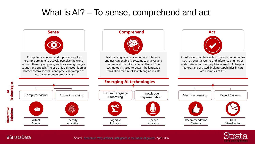Source: [Accenture: Why artificial intelligence is the future of growth](https://www.accenture.com/lv-en/_acnmedia/PDF-33/Accenture-Why-AI-is-the-Future-of-Growth.pdf), April 2016





Strata **DATA CONFERENCE** 





#StrataData

## What is AI? – To sense, comprehend and act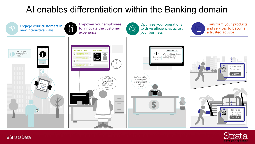## Al enables differentiation within the Banking domain





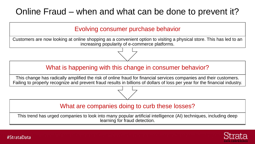## Online Fraud – when and what can be done to prevent it?

### What are companies doing to curb these losses?

This trend has urged companies to look into many popular artificial intelligence (AI) techniques, including deep learning for fraud detection.

#StrataData







### What is happening with this change in consumer behavior?

This change has radically amplified the risk of online fraud for financial services companies and their customers. Failing to properly recognize and prevent fraud results in billions of dollars of loss per year for the financial industry.

### Evolving consumer purchase behavior

Customers are now looking at online shopping as a convenient option to visiting a physical store. This has led to an increasing popularity of e-commerce platforms.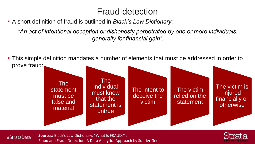## Fraud detection

*"An act of intentional deception or dishonesty perpetrated by one or more individuals, generally for financial gain".*

■ This simple definition mandates a number of elements that must be addressed in order to

- A short definition of fraud is outlined in *Black's Law Dictionary*:
- prove fraud:

**The** individual must know that the statement is untrue

### #StrataData

The statement must be false and material





**Sources:** Black's Law Dictionary, "What Is FRAUD?"; Fraud and Fraud Detection: A Data Analytics Approach by Sunder Gee.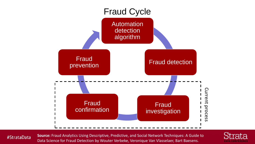

#StrataData

**Source:** Fraud Analytics Using Descriptive, Predictive, and Social Network Techniques: A Guide to Data Science for Fraud Detection by Wouter Verbeke, Veronique Van Vlasselaer, Bart Baesens.

![](_page_5_Picture_4.jpeg)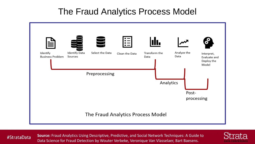## The Fraud Analytics Process Model

| Identify<br><b>Business Problem</b> | Identify Data<br>Sources | Select the Data | $\overline{\mathsf{C}}$ |
|-------------------------------------|--------------------------|-----------------|-------------------------|
|                                     |                          | Preprocessing   |                         |
|                                     |                          |                 |                         |
|                                     |                          | The Fraud Ana   |                         |

#StrataData

**Source:** Fraud Analytics Using Descriptive, Predictive, and Social Network Techniques: A Guide to Data Science for Fraud Detection by Wouter Verbeke, Veronique Van Vlasselaer, Bart Baesens.

![](_page_6_Figure_4.jpeg)

![](_page_6_Picture_5.jpeg)

![](_page_6_Picture_6.jpeg)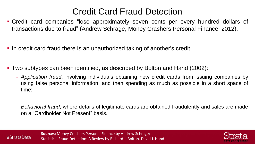## Credit Card Fraud Detection

▪ Credit card companies "lose approximately seven cents per every hundred dollars of transactions due to fraud" (Andrew Schrage, Money Crashers Personal Finance, 2012).

- 
- **In credit card fraud there is an unauthorized taking of another's credit.**
- Two subtypes can been identified, as described by Bolton and Hand (2002):
	- time;
	- on a "Cardholder Not Present" basis.

#StrataData

- *Application fraud*, involving individuals obtaining new credit cards from issuing companies by using false personal information, and then spending as much as possible in a short space of

- *Behavioral fraud*, where details of legitimate cards are obtained fraudulently and sales are made

![](_page_7_Picture_13.jpeg)

![](_page_7_Picture_14.jpeg)

![](_page_7_Figure_15.jpeg)

![](_page_7_Picture_16.jpeg)

**Sources:** Money Crashers Personal Finance by Andrew Schrage; Statistical Fraud Detection: A Review by Richard J. Bolton, David J. Hand.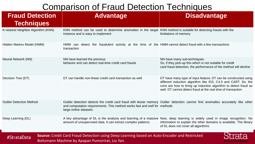## Comparison of Fraud

### **Fraud Detection Techniques**

### K-nearest Neighbor Algorithm (KNN) KNN method can be used to determine instance and is easy to implement Hidden Markov Model (HMM) Markov Model (HMM) HMM can detect the fraudulent activity transaction Neural Network (NN) Neural Network (NN) Neural Network (NN) behavior and can detect real-time credit Outlier Detection Method **Outlier detection detects the credit card** and computation requirements. This method works and computation requirements. This method large online datasets Deep Learning (DL) a matches and A key advantage of DL is the analysis amount of unsupervised data. It can extra

### #StrataData

| <b>Comparison of Fraud Detection Techniques</b> |                                                                                                                                                                                                                                        |                                                                                                                                                                                                                                                                      |  |  |  |
|-------------------------------------------------|----------------------------------------------------------------------------------------------------------------------------------------------------------------------------------------------------------------------------------------|----------------------------------------------------------------------------------------------------------------------------------------------------------------------------------------------------------------------------------------------------------------------|--|--|--|
| <b>Fraud Detection</b><br><b>Techniques</b>     | <b>Advantage</b>                                                                                                                                                                                                                       | <b>Disadvantage</b>                                                                                                                                                                                                                                                  |  |  |  |
| K-nearest Neighbor Algorithm (KNN)              | KNN method can be used to determine anomalies in the target KNN method is suitable for detecting frauds with the<br>instance and is easy to implement                                                                                  | limitations of memory                                                                                                                                                                                                                                                |  |  |  |
| Hidden Markov Model (HMM)                       | HMM can detect the fraudulent activity at the time of the HMM cannot detect fraud with a few transactions<br>transaction                                                                                                               |                                                                                                                                                                                                                                                                      |  |  |  |
| <b>Neural Network (NN)</b>                      | NN have learned the previous<br>behavior and can detect real-time credit card frauds                                                                                                                                                   | NN have many sub-techniques.<br>So, if they pick-up this which is not suitable for credit<br>card fraud detection, the performance of the method will decline                                                                                                        |  |  |  |
| Decision Tree (DT)                              | DT can handle non-linear credit card transaction as well                                                                                                                                                                               | DT have many type of input feature, DT can be constructed using<br>different induction algorithm like ID3, C4.5 and CART. So, the<br>cons are how to bring up induction algorithm to detect fraud as<br>well. DT cannot detect fraud at the real time of transaction |  |  |  |
| <b>Outlier Detection Method</b>                 | Outlier detection detects the credit card fraud with lesser memory Outlier detection cannot find anomalies accurately like other<br>and computation requirements. This method works fast and well for methods<br>large online datasets |                                                                                                                                                                                                                                                                      |  |  |  |
| Deep Learning (DL)                              | A key advantage of DL is the analysis and learning of a massive Now, deep learning is widely used in image recognition. No<br>amount of unsupervised data. It can extract complex patterns                                             | information to explain the other domains is available. The library<br>of DL does not cover all algorithms                                                                                                                                                            |  |  |  |
| $H$ Ctrata $D$ ata                              | <b>Source: Credit Card Fraud Detection using Deep Learning based on Auto-Encoder and Restricted</b>                                                                                                                                    | Atrota                                                                                                                                                                                                                                                               |  |  |  |

**Source:** Credit Card Fraud Detection using Deep Boltzmann Machine by Apapan Pumsirirat, Liu Yan.

![](_page_8_Figure_6.jpeg)

**DATA CONFERENT**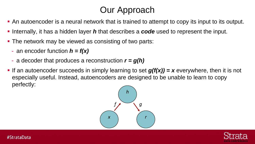## Our Approach

- An autoencoder is a neural network that is trained to attempt to copy its input to its output. **•** Internally, it has a hidden layer *h* that describes a **code** used to represent the input. ■ The network may be viewed as consisting of two parts:
- 
- - an encoder function *h = f(x)*
	- a decoder that produces a reconstruction *r = g(h)*
- **•** If an autoencoder succeeds in simply learning to set  $g(f(x)) = x$  everywhere, then it is not especially useful. Instead, autoencoders are designed to be unable to learn to copy perfectly:

![](_page_9_Figure_7.jpeg)

![](_page_9_Picture_10.jpeg)

![](_page_9_Picture_17.jpeg)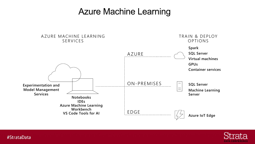![](_page_10_Figure_2.jpeg)

#StrataData

### A ZURE MACHINE LEARNING SERVICES

## **Azure Machine Learning**

EDGE

![](_page_10_Figure_4.jpeg)

![](_page_10_Picture_5.jpeg)

**Azure IoT Edge**

![](_page_10_Picture_7.jpeg)

![](_page_10_Picture_8.jpeg)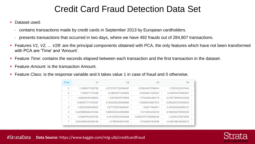## Credit Card Fraud Detection Data Set

- Dataset used:
	- contains transactions made by credit cards in September 2013 by European cardholders.
	- presents transactions that occurred in two days, where we have 492 frauds out of 284,807 transactions.
- with PCA are 'Time' and 'Amount'.
- Feature *Time*: contains the seconds elapsed between each transaction and the first transaction in the dataset.
- Feature *Amount*: is the transaction Amount.
- Feature *Class*: is the response variable and it takes value 1 in case of fraud and 0 otherwise.

| Time | V <sub>1</sub>     | V2                  | V3.                | V4                 |
|------|--------------------|---------------------|--------------------|--------------------|
| 0    | -1.3598071336738   | -0.0727811733098497 | 2.53634673796914   | 1.37815522427443   |
| 0    | 1.19185711131486   | 0.26615071205963    | 0.16648011335321   | 0.448154078460911  |
|      | -1.35835406159823  | -1.34016307473609   | 1.77320934263119   | 0.379779593034328  |
|      | -0.966271711572087 | -0.185226008082898  | 1,79299333957872   | -0.863291275036453 |
| 2    | -1.15823309349523  | 0.877736754848451   | 1.548717846511     | 0.403033933955121  |
| 2    | -0.425965884412454 | 0.960523044882985   | 1.14110934232219   | -0.168252079760302 |
| 4    | 1.22965763450793   | 0.141003507049326   | 0.0453707735899449 | 1.20261273673594   |
| 7    | -0.644269442348146 | 1.41796354547385    | 1.0743803763556    | -0.492199018495015 |

#StrataData **Data Source:** https://www.kaggle.com/mlg-ulb/creditcardfraud

■ Features *V1, V2, ... V28*: are the principal components obtained with PCA, the only features which have not been transformed

![](_page_11_Picture_15.jpeg)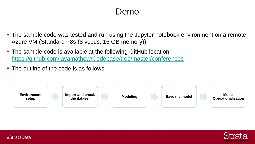## Demo

■ The sample code was tested and run using the Jupyter notebook environment on a remote

![](_page_12_Picture_9.jpeg)

![](_page_12_Picture_10.jpeg)

![](_page_12_Picture_0.jpeg)

- Azure VM (Standard F8s (8 vcpus, 16 GB memory)).
- The sample code is available at the following GitHub location: <https://github.com/jayamathew/Codebase/tree/master/conferences>
- The outline of the code is as follows:

![](_page_12_Picture_4.jpeg)

![](_page_12_Picture_5.jpeg)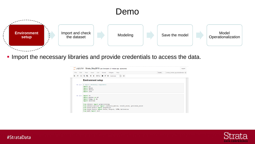![](_page_13_Picture_4.jpeg)

![](_page_13_Picture_5.jpeg)

![](_page_13_Picture_6.jpeg)

![](_page_13_Picture_7.jpeg)

![](_page_13_Picture_0.jpeg)

### **.** Import the necessary libraries and provide credentials to access the data.

|              | Jupyter Strata_May2018 Last Checkpoint: 21 minutes ago (autosaved)                                                                                                                                                                                                                                                                     |                | Logout                           |
|--------------|----------------------------------------------------------------------------------------------------------------------------------------------------------------------------------------------------------------------------------------------------------------------------------------------------------------------------------------|----------------|----------------------------------|
| Edit<br>File | Insert Cell Kernel<br>Widgets Help<br>View                                                                                                                                                                                                                                                                                             | <b>Trusted</b> | strata_london jayastratalondon O |
| B<br>೫       | ⊘ ™<br>$M$ Run $C$ $N$<br>$\ddot{\mathbf{v}}$<br><b>gang</b><br>个<br>Markdown<br>$\checkmark$                                                                                                                                                                                                                                          |                |                                  |
|              | <b>Environment setup</b>                                                                                                                                                                                                                                                                                                               |                |                                  |
|              | In [1]: # Import necessary components<br>import os<br>import keras<br>import shutil<br>import json                                                                                                                                                                                                                                     |                |                                  |
|              | In $[2]$ : import re<br>import pandas as pd<br>import numpy as np<br>import datetime<br>from sklearn import preprocessing<br>from sklearn.metrics import confusion_matrix, recall_score, precision_score<br>from keras.models import Sequential<br>from keras. layers import Dense, Dropout, LSTM, Activation<br>from math import ceil |                |                                  |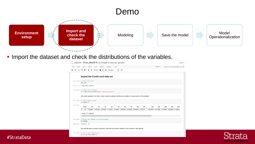![](_page_14_Picture_4.jpeg)

| osaved)        |    |                                               |  |                                                                                     |            |                 |            |                                  | Logout |
|----------------|----|-----------------------------------------------|--|-------------------------------------------------------------------------------------|------------|-----------------|------------|----------------------------------|--------|
|                |    |                                               |  |                                                                                     | Trusted    |                 |            | strata_london jayastratalondon O |        |
| gang           |    |                                               |  |                                                                                     |            |                 |            |                                  |        |
|                |    |                                               |  |                                                                                     |            |                 |            |                                  |        |
|                |    |                                               |  |                                                                                     |            |                 |            |                                  |        |
|                |    |                                               |  |                                                                                     |            |                 |            |                                  |        |
|                |    |                                               |  |                                                                                     |            |                 |            |                                  |        |
|                |    |                                               |  |                                                                                     |            |                 |            |                                  |        |
|                |    |                                               |  |                                                                                     |            |                 |            |                                  |        |
|                |    |                                               |  |                                                                                     |            |                 |            |                                  |        |
|                |    | ns and number of rows/columns of the dataset. |  |                                                                                     |            |                 |            |                                  |        |
|                |    |                                               |  |                                                                                     |            |                 |            |                                  |        |
|                |    |                                               |  |                                                                                     |            |                 |            |                                  |        |
| V <sub>6</sub> | V7 | V8                                            |  | $V9$<br>V <sub>21</sub>                                                             | <b>V22</b> | V <sub>23</sub> | <b>V24</b> | V <sub>25</sub>                  |        |
|                |    |                                               |  | 0.462388 0.239599 0.098698 0.363787  -0.018307 0.277838 -0.110474 0.066928 0.128539 |            |                 |            |                                  |        |
|                |    |                                               |  |                                                                                     |            |                 |            |                                  |        |
|                |    |                                               |  |                                                                                     |            |                 |            | $\,$                             |        |
|                |    |                                               |  |                                                                                     |            |                 |            |                                  |        |
|                |    |                                               |  |                                                                                     |            |                 |            |                                  |        |

![](_page_14_Picture_6.jpeg)

![](_page_14_Picture_7.jpeg)

![](_page_14_Picture_8.jpeg)

![](_page_14_Figure_0.jpeg)

### **.** Import the dataset and check the distributions of the variables.

|              | Jupyter Strata_May2018 Last Checkpoint: 25 minutes ago (auto                  |  |
|--------------|-------------------------------------------------------------------------------|--|
| Edit<br>File | View<br>Cell<br>Kernel<br>Widgets Help<br>Insert                              |  |
| B<br>৯≪      | ඇ<br><b>H</b> Run<br>r<br>c<br>▶<br>Markdown                                  |  |
|              | Import the Credit card data set                                               |  |
|              | In $[11]:$ # Check the path<br>aml dir                                        |  |
|              | Out[11]: '/azureml-share/'                                                    |  |
|              | In $[12]:$ # Ingest the dataset<br>cc = pd.read csv(aml dir+'creditcard.csv') |  |
|              | After data ingestion from Blob, check to see the various column               |  |
| In [13]:     | # Check sample data<br>cc. head(1)                                            |  |
| Out[13]:     |                                                                               |  |
|              | V1<br>V2<br>V3<br>Time<br>V4<br>V5                                            |  |
|              | 0.0 -1.359807 -0.072781 2.536347 1.378155 -0.338321<br>$\bf{0}$               |  |
|              | 1 rows $\times$ 31 columns                                                    |  |
|              |                                                                               |  |
|              | In $[14]$ : # Check the number of rows/columns<br>cc.shape                    |  |
|              | Out[14]: (284807, 31)                                                         |  |
|              | Now that the data is properly imported, check the descriptive sta             |  |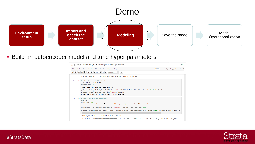## Demo

| tosaved)                                                                                  |                                             | Logout        |
|-------------------------------------------------------------------------------------------|---------------------------------------------|---------------|
|                                                                                           | Trusted<br>strata london jayastratalondon O |               |
| gang                                                                                      |                                             |               |
| nd fit using the training data.                                                           |                                             |               |
| activity regularizer=regularizers.11(10e-5))(input layer)<br>n='tanh')(encoder)<br>coder) |                                             |               |
| decoder)                                                                                  |                                             |               |
|                                                                                           |                                             |               |
| squared error', metrics=['accuracy'])                                                     |                                             |               |
| <sup>5</sup> ", verbose=0, save best only=True)                                           |                                             |               |
| is=nb epoch, batch size=batch size, shuffle=True, validation data=(X test, X t            |                                             |               |
| es.                                                                                       |                                             | $\rightarrow$ |
| 15s 74us/step - loss: 0.8534 - acc: 0.5970 - val loss: 0.7937 - val acc: 0                |                                             |               |

![](_page_15_Picture_6.jpeg)

![](_page_15_Picture_7.jpeg)

![](_page_15_Picture_8.jpeg)

![](_page_15_Picture_0.jpeg)

### **• Build an autoencoder model and tune hyper parameters.**

|              | Jupyter Strata_May2018 Last Checkpoint: 27 minutes ago (au                                                                                                                                                                                                      |
|--------------|-----------------------------------------------------------------------------------------------------------------------------------------------------------------------------------------------------------------------------------------------------------------|
| File<br>Edit | Kernel Widgets Help<br>View<br>Insert Cell                                                                                                                                                                                                                      |
| ৯≪           | ረካ<br><b>H</b> Run<br>c<br>▶<br>Markdown                                                                                                                                                                                                                        |
|              | Define the framework for the autoencoder and then compile a                                                                                                                                                                                                     |
| In $[24]$ :  | # Define the encoded/decoder framework<br>input $\dim = X$ train.shape [1]<br>encoding $dim = 14$                                                                                                                                                               |
|              | input layer = $Input(shape=(input dim, ))$<br>encoder = Dense (encoding dim, activation="tanh",<br>$decoder = Dense(int(encoding dim / 2), activation$<br>decoder = Dense(input dim, activation='relu') (de<br>autoencoder = Model(inputs=input layer, outputs= |
|              | In $[25]$ : # Compile and fit the autoencoder<br>$nb$ epoch = $5$<br>batch $size = 32$<br>autoencoder.compile(optimizer='adam', loss='mean<br>checkpointer = ModelCheckpoint (filepath="model.h<br>history = autoencoder.fit(X train, X train, epoc             |
|              | Train on 199364 samples, validate on 85443 sampl<br>$Epcch$ 1/5<br>199364/199364 [===========<br>.<br>.6356                                                                                                                                                     |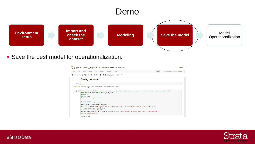## Demo

![](_page_16_Picture_6.jpeg)

![](_page_16_Picture_7.jpeg)

![](_page_16_Picture_8.jpeg)

![](_page_16_Picture_0.jpeg)

■ Save the best model for operationalization.

|              | Jupyter Strata_May2018 Last Checkpoint: 28 minutes ago (autosaved)                                                                                                                                                                                                                                                                                                                                                                                                                                                                                                                                                         | Logout                           |
|--------------|----------------------------------------------------------------------------------------------------------------------------------------------------------------------------------------------------------------------------------------------------------------------------------------------------------------------------------------------------------------------------------------------------------------------------------------------------------------------------------------------------------------------------------------------------------------------------------------------------------------------------|----------------------------------|
| File<br>Edit | Help<br>Trusted<br>View<br>Cell Kernel<br>Widgets<br>Insert                                                                                                                                                                                                                                                                                                                                                                                                                                                                                                                                                                | strata_london jayastratalondon O |
| H<br>೫       | $H$ Run $\begin{bmatrix} 1 & 1 \\ 1 & 1 \end{bmatrix}$ $C$ $H$<br>D.<br>ආ<br>Markdown<br>gang<br>T.                                                                                                                                                                                                                                                                                                                                                                                                                                                                                                                        |                                  |
|              | <b>Saving the model</b>                                                                                                                                                                                                                                                                                                                                                                                                                                                                                                                                                                                                    |                                  |
|              | In [31]: autoencoder                                                                                                                                                                                                                                                                                                                                                                                                                                                                                                                                                                                                       |                                  |
|              | Out[31]: < keras.engine.training. Model at 0x7f933c697d30>                                                                                                                                                                                                                                                                                                                                                                                                                                                                                                                                                                 |                                  |
|              | In [32]: # Save the model for operationalization: https://machinelearningmastery.com/save-load-keras-deep-learning-models/<br>from keras.models import model from json<br>import os<br>import h5py<br>from sklearn import datasets<br># save model<br># serialize model to JSON<br>model $json = autoencoder.to json()$<br>with open(os.environ['AZUREML NATIVE SHARE DIRECTORY'] +"autoencoder.json", "w") as json file:<br>json file.write(model json)<br># serialize weights to HDF5<br>autoencoder.save_weights(os.path.join(os.environ['AZUREML NATIVE_SHARE_DIRECTORY'], "autoencoder.h5"))<br>print ("Model saved") |                                  |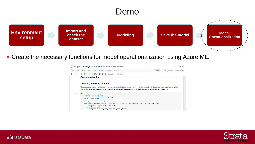![](_page_17_Picture_4.jpeg)

| osaved)                                                                        | Logout                                                                                                |
|--------------------------------------------------------------------------------|-------------------------------------------------------------------------------------------------------|
|                                                                                | Trusted<br>strata_london jayastratalondon O                                                           |
| <b>ENGINEER</b>                                                                |                                                                                                       |
|                                                                                |                                                                                                       |
|                                                                                |                                                                                                       |
|                                                                                |                                                                                                       |
| core that data set. We create the functions in here for testing and debugging. | will initialize the web service by loading the model into the service, and a run() function that will |
|                                                                                |                                                                                                       |
|                                                                                |                                                                                                       |
|                                                                                |                                                                                                       |
| RECTORY'] +'autoencoder.json', 'r') as json_file:                              |                                                                                                       |
|                                                                                |                                                                                                       |
| el_json)                                                                       |                                                                                                       |
|                                                                                |                                                                                                       |

![](_page_17_Picture_7.jpeg)

![](_page_17_Picture_8.jpeg)

![](_page_17_Picture_9.jpeg)

![](_page_17_Picture_0.jpeg)

▪ Create the necessary functions for model operationalization using Azure ML.

![](_page_17_Picture_2.jpeg)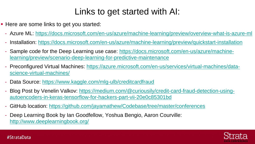## Links to get started with AI:

![](_page_18_Picture_12.jpeg)

![](_page_18_Figure_13.jpeg)

![](_page_18_Figure_14.jpeg)

- Here are some links to get you started:
	- Azure ML: <https://docs.microsoft.com/en-us/azure/machine-learning/preview/overview-what-is-azure-ml>
	- Installation: <https://docs.microsoft.com/en-us/azure/machine-learning/preview/quickstart-installation>
	- [Sample code for the Deep Learning use case: https://docs.microsoft.com/en-us/azure/machine](https://docs.microsoft.com/en-us/azure/machine-learning/preview/scenario-deep-learning-for-predictive-maintenance)learning/preview/scenario-deep-learning-for-predictive-maintenance
	- [Preconfigured Virtual Machines: https://azure.microsoft.com/en-us/services/virtual-machines/data](https://azure.microsoft.com/en-us/services/virtual-machines/data-science-virtual-machines/)science-virtual-machines/
	- Data Source:<https://www.kaggle.com/mlg-ulb/creditcardfraud>
	- [Blog Post by Venelin Valkov: https://medium.com/@curiousily/credit-card-fraud-detection-using](https://medium.com/@curiousily/credit-card-fraud-detection-using-autoencoders-in-keras-tensorflow-for-hackers-part-vii-20e0c85301bd)autoencoders-in-keras-tensorflow-for-hackers-part-vii-20e0c85301bd
	- GitHub location:<https://github.com/jayamathew/Codebase/tree/master/conferences>
	- Deep Learning Book by Ian Goodfellow, Yoshua Bengio, Aaron Courville: <http://www.deeplearningbook.org/>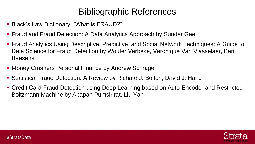## Bibliographic References

- Black's Law Dictionary, "What Is FRAUD?"
- **Fraud and Fraud Detection: A Data Analytics Approach by Sunder Gee**
- Fraud Analytics Using Descriptive, Predictive, and Social Network Techniques: A Guide to Data Science for Fraud Detection by Wouter Verbeke, Veronique Van Vlasselaer, Bart **Baesens**
- Money Crashers Personal Finance by Andrew Schrage
- Statistical Fraud Detection: A Review by Richard J. Bolton, David J. Hand
- Credit Card Fraud Detection using Deep Learning based on Auto-Encoder and Restricted Boltzmann Machine by Apapan Pumsirirat, Liu Yan

![](_page_19_Picture_9.jpeg)

![](_page_19_Picture_10.jpeg)

![](_page_19_Picture_11.jpeg)

![](_page_19_Picture_12.jpeg)